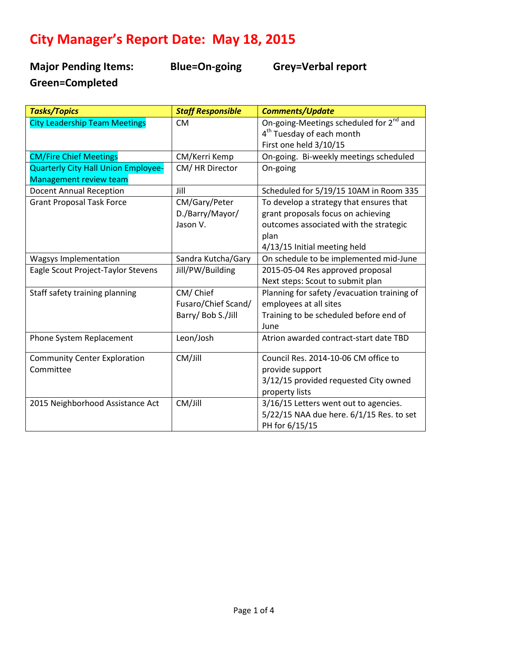# **City Manager's Report Date: May 18, 2015**

**Major Pending Items: Blue=On-going Grey=Verbal report Green=Completed** 

| <b>Tasks/Topics</b>                  | <b>Staff Responsible</b> | <b>Comments/Update</b>                              |
|--------------------------------------|--------------------------|-----------------------------------------------------|
| <b>City Leadership Team Meetings</b> | <b>CM</b>                | On-going-Meetings scheduled for 2 <sup>nd</sup> and |
|                                      |                          | 4 <sup>th</sup> Tuesday of each month               |
|                                      |                          | First one held 3/10/15                              |
| <b>CM/Fire Chief Meetings</b>        | CM/Kerri Kemp            | On-going. Bi-weekly meetings scheduled              |
| Quarterly City Hall Union Employee-  | CM/HR Director           | On-going                                            |
| <b>Management review team</b>        |                          |                                                     |
| <b>Docent Annual Reception</b>       | Jill                     | Scheduled for 5/19/15 10AM in Room 335              |
| <b>Grant Proposal Task Force</b>     | CM/Gary/Peter            | To develop a strategy that ensures that             |
|                                      | D./Barry/Mayor/          | grant proposals focus on achieving                  |
|                                      | Jason V.                 | outcomes associated with the strategic              |
|                                      |                          | plan                                                |
|                                      |                          | 4/13/15 Initial meeting held                        |
| Wagsys Implementation                | Sandra Kutcha/Gary       | On schedule to be implemented mid-June              |
| Eagle Scout Project-Taylor Stevens   | Jill/PW/Building         | 2015-05-04 Res approved proposal                    |
|                                      |                          | Next steps: Scout to submit plan                    |
| Staff safety training planning       | CM/Chief                 | Planning for safety / evacuation training of        |
|                                      | Fusaro/Chief Scand/      | employees at all sites                              |
|                                      | Barry/ Bob S./Jill       | Training to be scheduled before end of              |
|                                      |                          | June                                                |
| Phone System Replacement             | Leon/Josh                | Atrion awarded contract-start date TBD              |
| <b>Community Center Exploration</b>  | CM/Jill                  | Council Res. 2014-10-06 CM office to                |
| Committee                            |                          | provide support                                     |
|                                      |                          | 3/12/15 provided requested City owned               |
|                                      |                          | property lists                                      |
| 2015 Neighborhood Assistance Act     | CM/Jill                  | 3/16/15 Letters went out to agencies.               |
|                                      |                          | 5/22/15 NAA due here. 6/1/15 Res. to set            |
|                                      |                          | PH for 6/15/15                                      |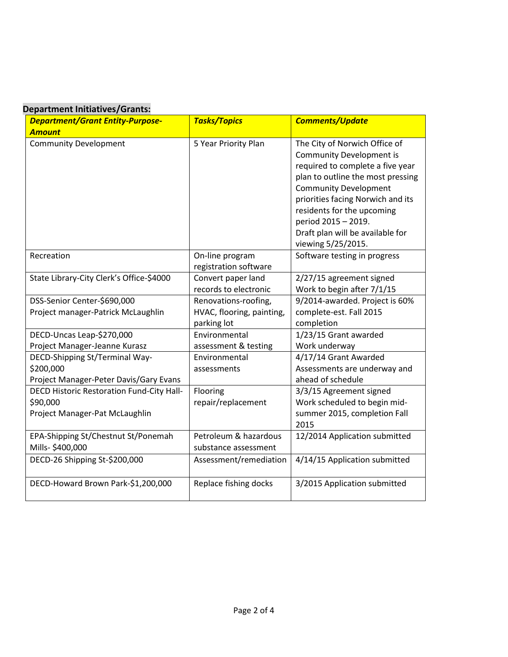### **Department Initiatives/Grants:**

| <b>Department/Grant Entity-Purpose-</b>          | <b>Tasks/Topics</b>       | <b>Comments/Update</b>                                           |
|--------------------------------------------------|---------------------------|------------------------------------------------------------------|
| <b>Amount</b>                                    |                           |                                                                  |
| <b>Community Development</b>                     | 5 Year Priority Plan      | The City of Norwich Office of<br><b>Community Development is</b> |
|                                                  |                           | required to complete a five year                                 |
|                                                  |                           | plan to outline the most pressing                                |
|                                                  |                           | <b>Community Development</b>                                     |
|                                                  |                           | priorities facing Norwich and its                                |
|                                                  |                           | residents for the upcoming                                       |
|                                                  |                           | period 2015 - 2019.                                              |
|                                                  |                           | Draft plan will be available for                                 |
|                                                  |                           | viewing 5/25/2015.                                               |
| Recreation                                       | On-line program           | Software testing in progress                                     |
|                                                  | registration software     |                                                                  |
| State Library-City Clerk's Office-\$4000         | Convert paper land        | 2/27/15 agreement signed                                         |
|                                                  | records to electronic     | Work to begin after 7/1/15                                       |
| DSS-Senior Center-\$690,000                      | Renovations-roofing,      | 9/2014-awarded. Project is 60%                                   |
| Project manager-Patrick McLaughlin               | HVAC, flooring, painting, | complete-est. Fall 2015                                          |
|                                                  | parking lot               | completion                                                       |
| DECD-Uncas Leap-\$270,000                        | Environmental             | 1/23/15 Grant awarded                                            |
| Project Manager-Jeanne Kurasz                    | assessment & testing      | Work underway                                                    |
| DECD-Shipping St/Terminal Way-                   | Environmental             | 4/17/14 Grant Awarded                                            |
| \$200,000                                        | assessments               | Assessments are underway and                                     |
| Project Manager-Peter Davis/Gary Evans           |                           | ahead of schedule                                                |
| <b>DECD Historic Restoration Fund-City Hall-</b> | Flooring                  | 3/3/15 Agreement signed                                          |
| \$90,000                                         | repair/replacement        | Work scheduled to begin mid-                                     |
| Project Manager-Pat McLaughlin                   |                           | summer 2015, completion Fall                                     |
|                                                  |                           | 2015                                                             |
| EPA-Shipping St/Chestnut St/Ponemah              | Petroleum & hazardous     | 12/2014 Application submitted                                    |
| Mills-\$400,000                                  | substance assessment      |                                                                  |
| DECD-26 Shipping St-\$200,000                    | Assessment/remediation    | 4/14/15 Application submitted                                    |
| DECD-Howard Brown Park-\$1,200,000               | Replace fishing docks     | 3/2015 Application submitted                                     |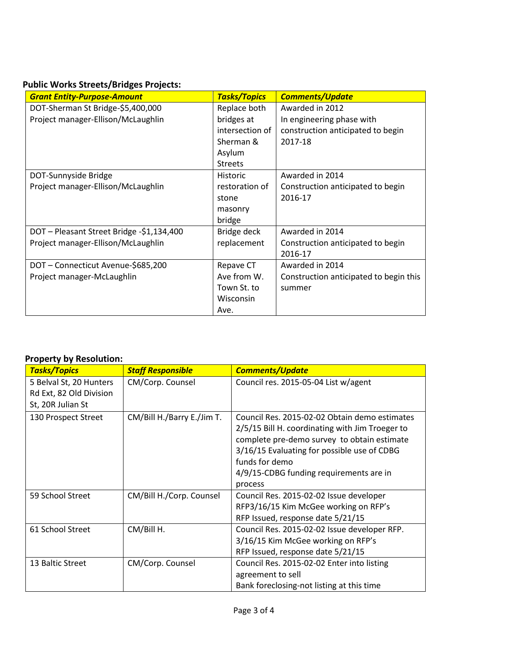## **Public Works Streets/Bridges Projects:**

| <b>Grant Entity-Purpose-Amount</b>        | <b>Tasks/Topics</b> | <b>Comments/Update</b>                 |
|-------------------------------------------|---------------------|----------------------------------------|
| DOT-Sherman St Bridge-\$5,400,000         | Replace both        | Awarded in 2012                        |
| Project manager-Ellison/McLaughlin        | bridges at          | In engineering phase with              |
|                                           | intersection of     | construction anticipated to begin      |
|                                           | Sherman &           | 2017-18                                |
|                                           | Asylum              |                                        |
|                                           | <b>Streets</b>      |                                        |
| DOT-Sunnyside Bridge                      | <b>Historic</b>     | Awarded in 2014                        |
| Project manager-Ellison/McLaughlin        | restoration of      | Construction anticipated to begin      |
|                                           | stone               | 2016-17                                |
|                                           | masonry             |                                        |
|                                           | bridge              |                                        |
| DOT - Pleasant Street Bridge -\$1,134,400 | Bridge deck         | Awarded in 2014                        |
| Project manager-Ellison/McLaughlin        | replacement         | Construction anticipated to begin      |
|                                           |                     | 2016-17                                |
| DOT - Connecticut Avenue-\$685,200        | Repave CT           | Awarded in 2014                        |
| Project manager-McLaughlin                | Ave from W.         | Construction anticipated to begin this |
|                                           | Town St. to         | summer                                 |
|                                           | Wisconsin           |                                        |
|                                           | Ave.                |                                        |

#### **Property by Resolution:**

| <b>Tasks/Topics</b>     | <b>Staff Responsible</b>   | <b>Comments/Update</b>                          |
|-------------------------|----------------------------|-------------------------------------------------|
| 5 Belval St, 20 Hunters | CM/Corp. Counsel           | Council res. 2015-05-04 List w/agent            |
| Rd Ext, 82 Old Division |                            |                                                 |
| St, 20R Julian St       |                            |                                                 |
| 130 Prospect Street     | CM/Bill H./Barry E./Jim T. | Council Res. 2015-02-02 Obtain demo estimates   |
|                         |                            | 2/5/15 Bill H. coordinating with Jim Troeger to |
|                         |                            | complete pre-demo survey to obtain estimate     |
|                         |                            | 3/16/15 Evaluating for possible use of CDBG     |
|                         |                            | funds for demo                                  |
|                         |                            | 4/9/15-CDBG funding requirements are in         |
|                         |                            | process                                         |
| 59 School Street        | CM/Bill H./Corp. Counsel   | Council Res. 2015-02-02 Issue developer         |
|                         |                            | RFP3/16/15 Kim McGee working on RFP's           |
|                         |                            | RFP Issued, response date 5/21/15               |
| 61 School Street        | CM/Bill H.                 | Council Res. 2015-02-02 Issue developer RFP.    |
|                         |                            | 3/16/15 Kim McGee working on RFP's              |
|                         |                            | RFP Issued, response date 5/21/15               |
| 13 Baltic Street        | CM/Corp. Counsel           | Council Res. 2015-02-02 Enter into listing      |
|                         |                            | agreement to sell                               |
|                         |                            | Bank foreclosing-not listing at this time       |